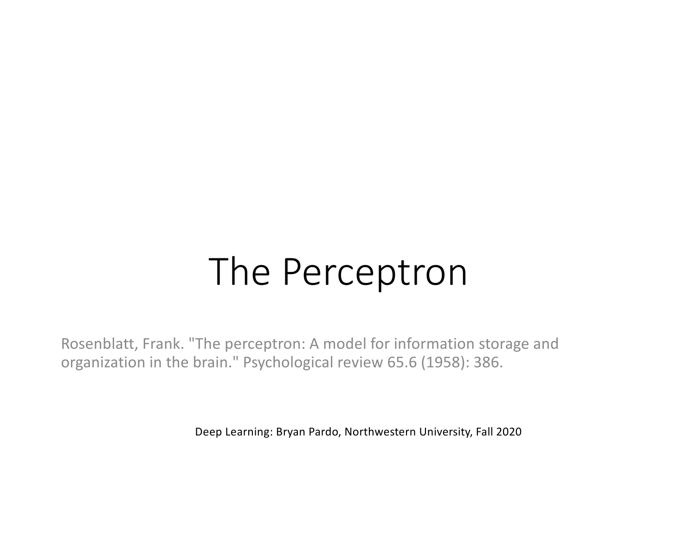# The Perceptron

Rosenblatt, Frank. "The perceptron: A model for information storage and organization in the brain." Psychological review 65.6 (1958): 386.

Deep Learning: Bryan Pardo, Northwestern University, Fall 2020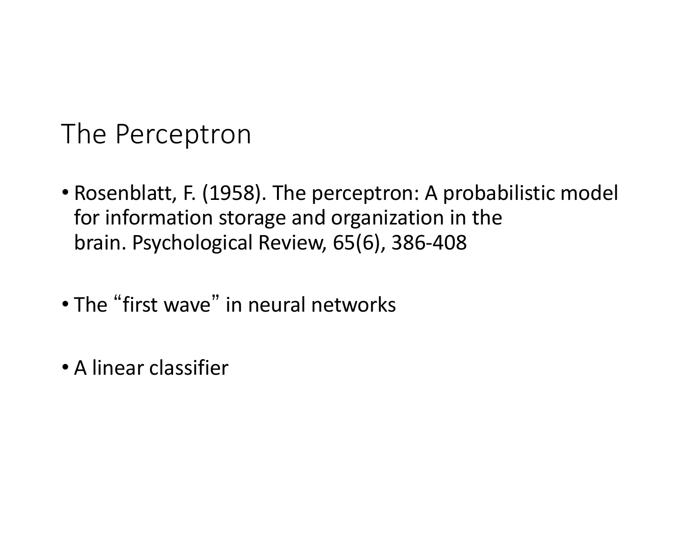### The Perceptron

- Rosenblatt, F. (1958). The perceptron: A probabilistic model for information storage and organization in the brain. Psychological Review, 65(6), 386-408
- The "first wave" in neural networks
- A linear classifier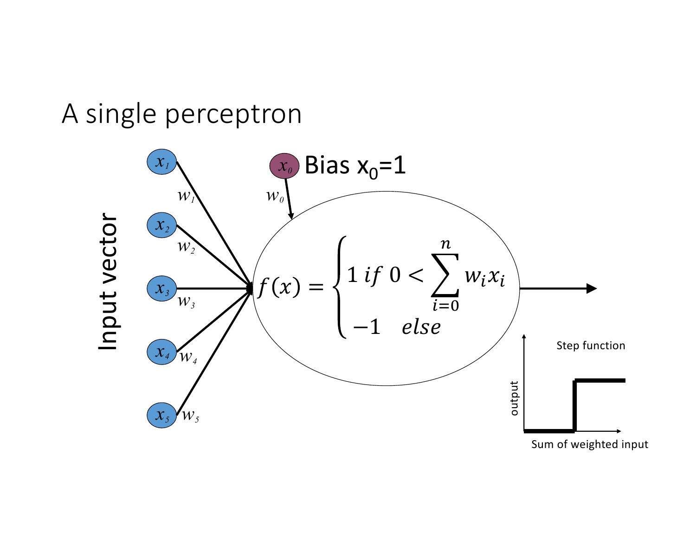#### A single perceptron

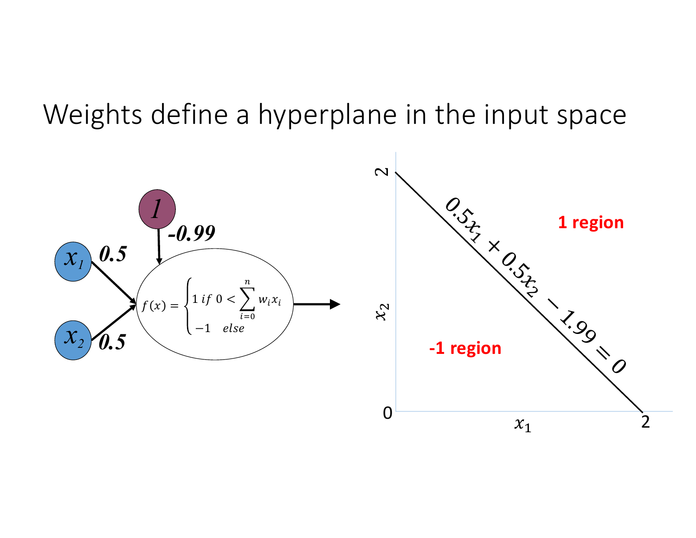#### Weights define a hyperplane in the input space

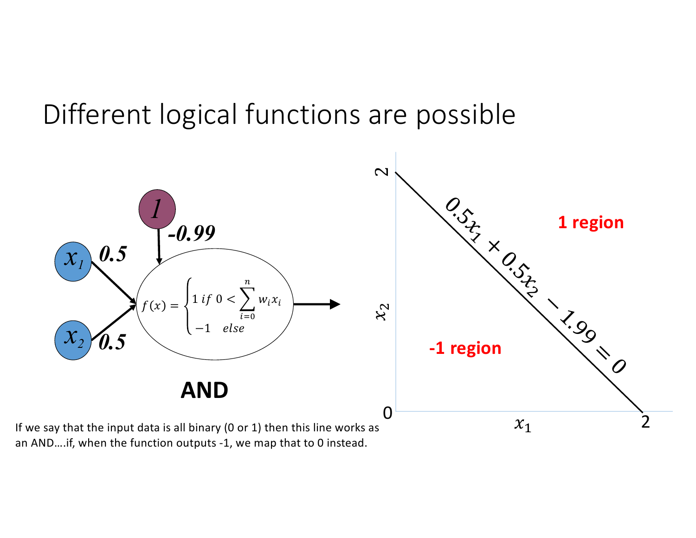### Different logical functions are possible



an AND….if, when the function outputs -1, we map that to 0 instead.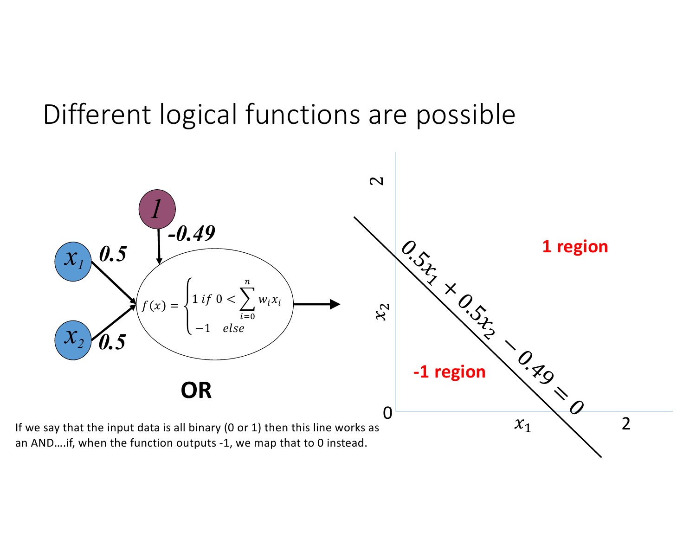### Different logical functions are possible

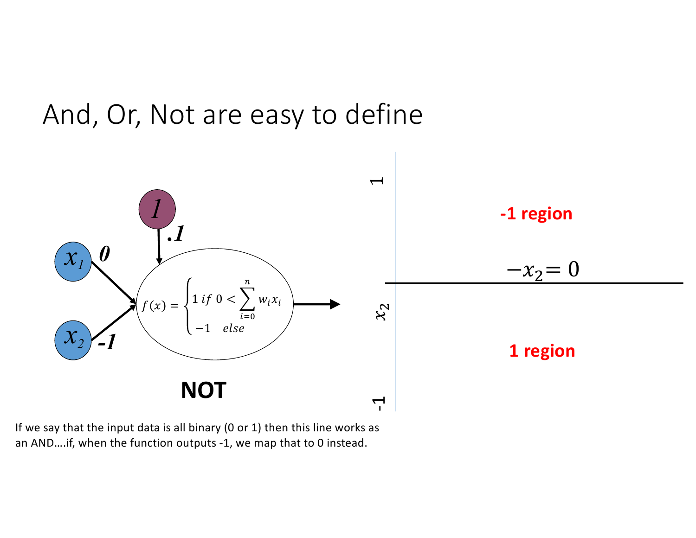



If we say that the input data is all binary (0 or 1) then this line works as an AND….if, when the function outputs -1, we map that to 0 instead.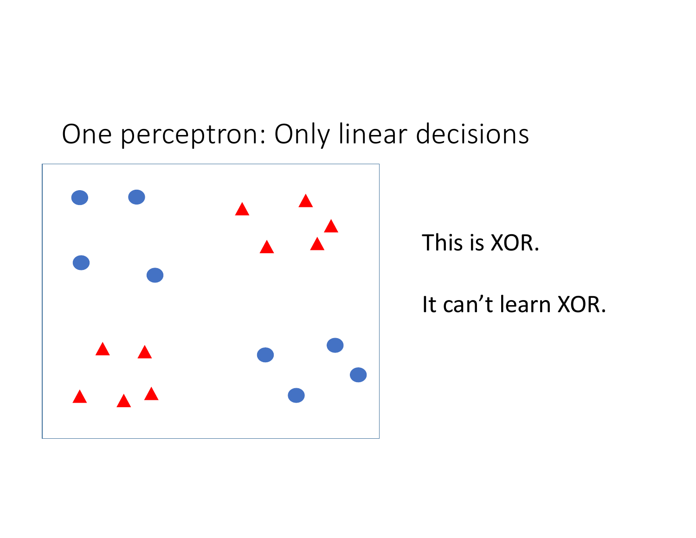### One perceptron: Only linear decisions



This is XOR.

It can't learn XOR.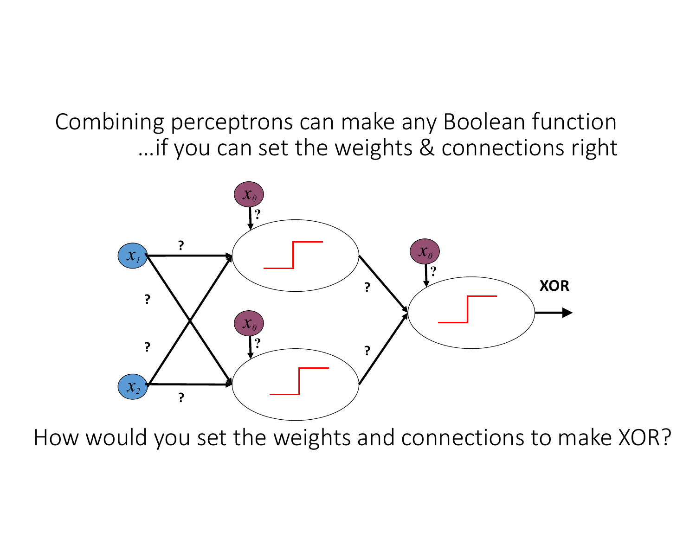Combining perceptrons can make any Boolean function …if you can set the weights & connections right



How would you set the weights and connections to make XOR?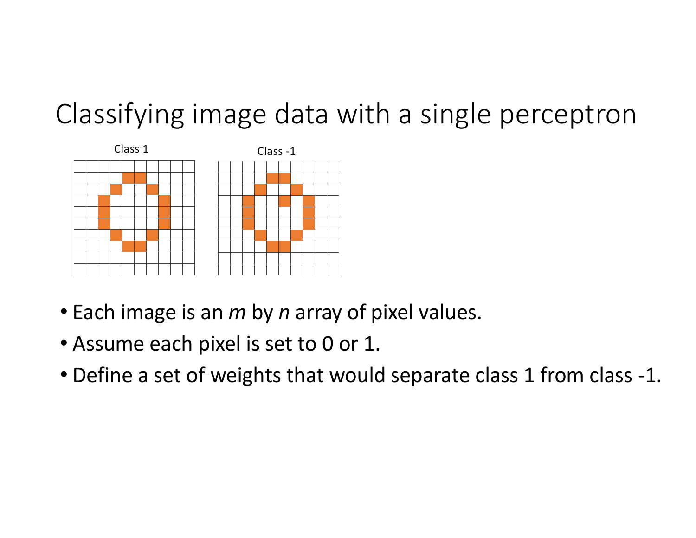

- Each image is an *m* by *n* array of pixel values.
- Assume each pixel is set to 0 or 1.
- Define a set of weights that would separate class 1 from class -1.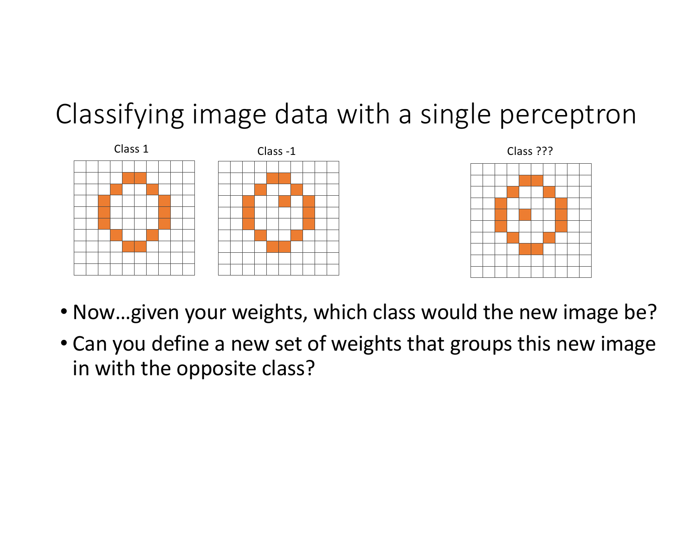



- Now…given your weights, which class would the new image be?
- Can you define a new set of weights that groups this new image in with the opposite class?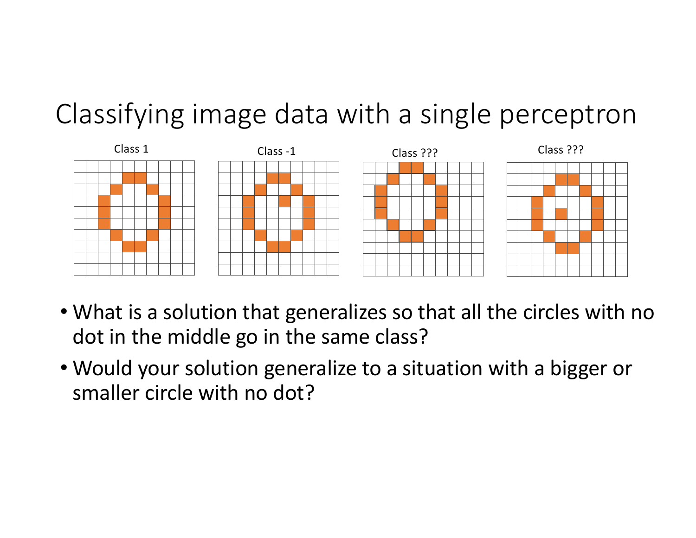

- What is a solution that generalizes so that all the circles with no dot in the middle go in the same class?
- Would your solution generalize to a situation with a bigger or smaller circle with no dot?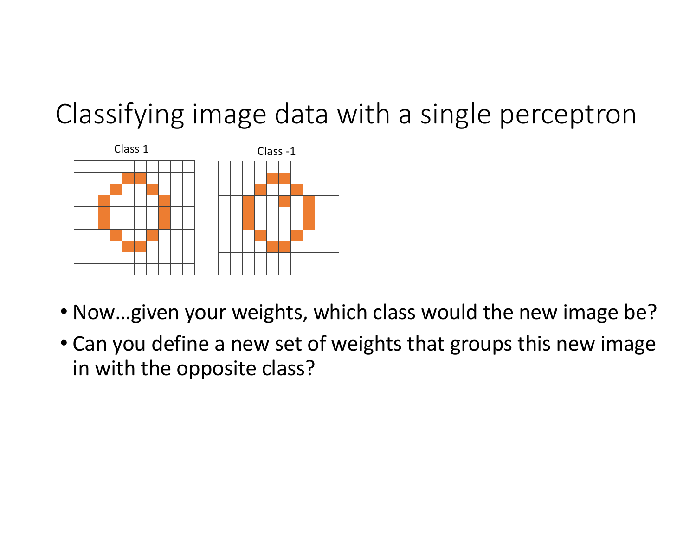

- Now…given your weights, which class would the new image be?
- Can you define a new set of weights that groups this new image in with the opposite class?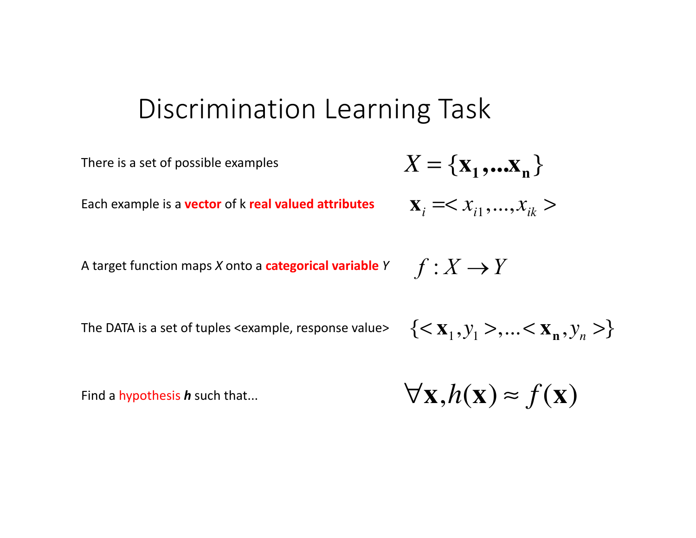#### Discrimination Learning Task

There is a set of possible examples  
Each example is a **vector** of k **real valued attributes** 
$$
X_i = < x_{i1},...,x_{ik}
$$
 >  
A target function maps X onto a **categorical variable** Y  $f: X \rightarrow Y$ 

The DATA is a set of tuples <example, response value>

 $\{<\mathbf{x}_1, y_1>, \ldots <\mathbf{x}_n, y_n>\}$ 

Find a hypothesis *h* such that...

$$
\forall \mathbf{x}, h(\mathbf{x}) \approx f(\mathbf{x})
$$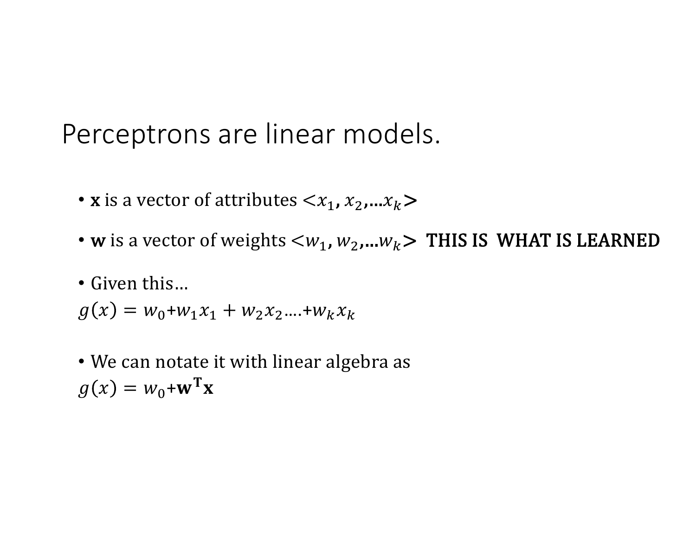Perceptrons are linear models.

- **x** is a vector of attributes  $\langle x_1, x_2, ... x_k \rangle$
- w is a vector of weights  $\langle w_1, w_2,...w_k \rangle$  THIS IS WHAT IS LEARNED
- Given this...

$$
g(x) = w_0 + w_1 x_1 + w_2 x_2 ... + w_k x_k
$$

• We can notate it with linear algebra as  $g(x) = w_0 + \mathbf{w}^T \mathbf{x}$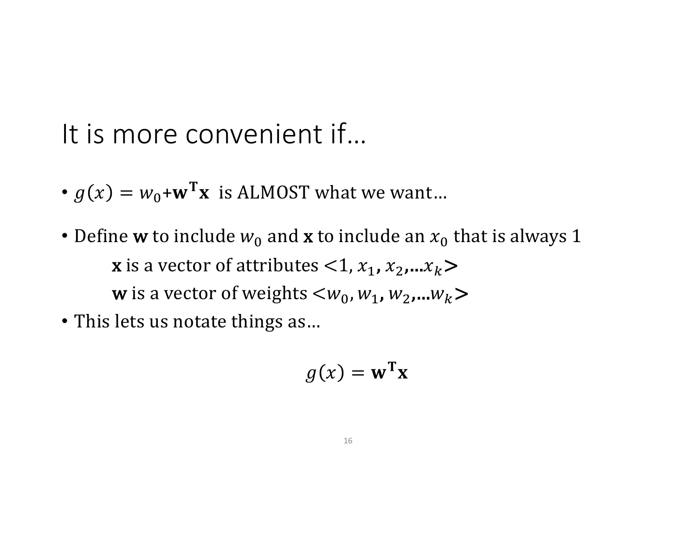It is more convenient if…

- $g(x) = w_0 + \mathbf{w}^T \mathbf{x}$  is ALMOST what we want...
- Define **w** to include  $w_0$  and **x** to include an  $x_0$  that is always 1 **x** is a vector of attributes  $\langle 1, x_1, x_2, ... x_k \rangle$ **w** is a vector of weights  $\langle w_0, w_1, w_2, ... w_k \rangle$
- This lets us notate things as...

$$
g(x) = \mathbf{w}^{\mathrm{T}} \mathbf{x}
$$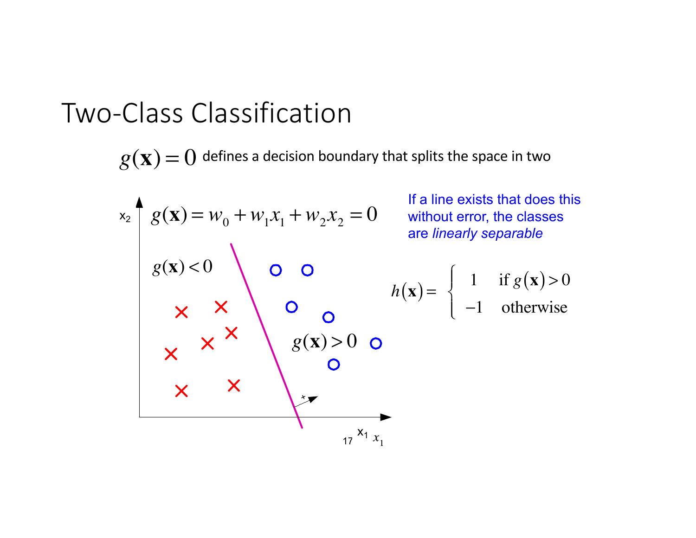#### Two-Class Classification

 $g(\mathbf{x}) = 0$  defines a decision boundary that splits the space in two

x<sub>2</sub>   
\nx<sub>2</sub>   
\n
$$
g(\mathbf{x}) = w_0 + w_1 x_1 + w_2 x_2 = 0
$$
  
\n $g(\mathbf{x}) < 0$   
\n $g(\mathbf{x}) < 0$   
\n $\times$   
\nx  
\n $\times$   
\n $\times$   
\n $\times$   
\n $\times$   
\n $\times$   
\n $\times$   
\n $\times$   
\n $\times$   
\n $\times$   
\n $\times$   
\n $\times$   
\n $\times$   
\n $\times$   
\n $\times$   
\n $\times$   
\n $\times$   
\n $\times$   
\n $\times$   
\n $\times$   
\n $\times$   
\n $\times$   
\n $\times$   
\n $\times$   
\n $\times$   
\n $\times$   
\n $\times$   
\n $\times$   
\n $\times$   
\n $\times$   
\n $\times$   
\n $\times$   
\n $\times$   
\n $\times$   
\n $\times$   
\n $\times$   
\n $\times$   
\n $\times$   
\n $\times$   
\n $\times$   
\n $\times$   
\n $\times$   
\n $\times$   
\n $\times$   
\n $\times$   
\n $\times$   
\n $\times$   
\n $\times$   
\n $\times$   
\n $\times$   
\n $\times$   
\n $\times$   
\n $\times$   
\n $\times$   
\n $\times$   
\n $\times$   
\n $\times$   
\n $\times$   
\n $\times$   
\n $\times$   
\n $\times$   
\n $\times$   
\n $\times$   
\n $\times$   
\n $\times$   
\n $\times$   
\n $\times$ <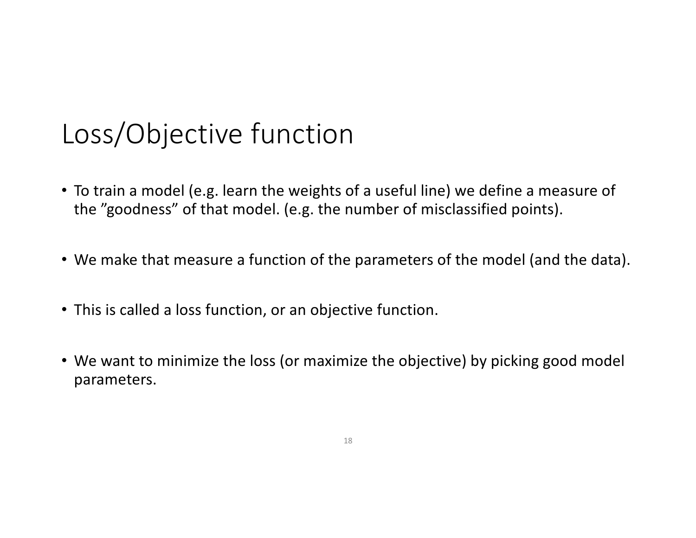# Loss/Objective function

- To train a model (e.g. learn the weights of a useful line) we define a measure of the "goodness" of that model. (e.g. the number of misclassified points).
- We make that measure a function of the parameters of the model (and the data).
- This is called a loss function, or an objective function.
- We want to minimize the loss (or maximize the objective) by picking good model parameters.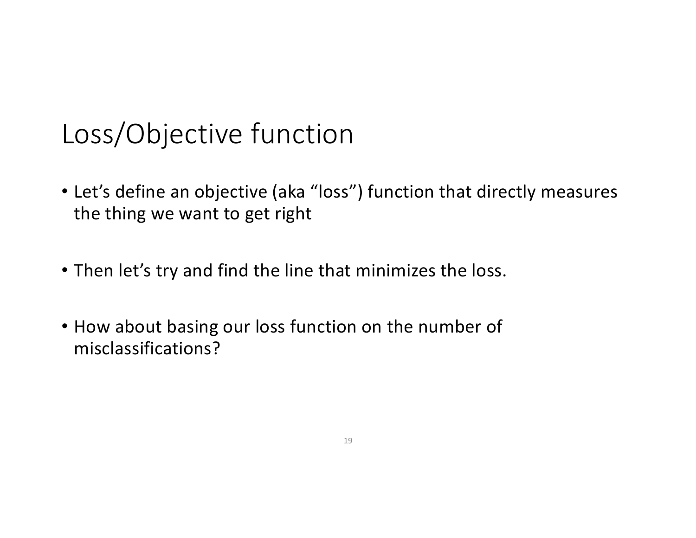# Loss/Objective function

- Let's define an objective (aka "loss") function that directly measures the thing we want to get right
- Then let's try and find the line that minimizes the loss.
- How about basing our loss function on the number of misclassifications?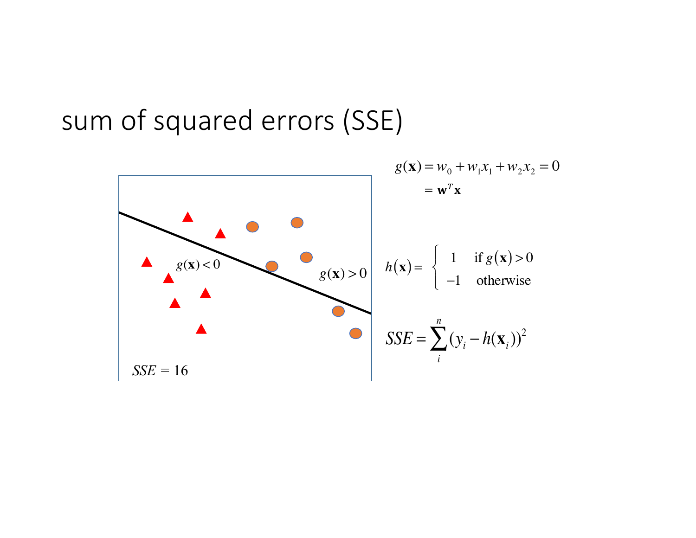#### sum of squared errors (SSE)

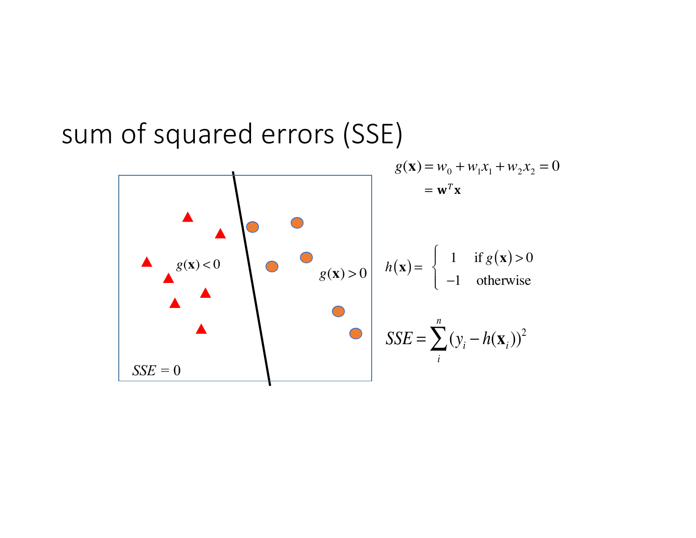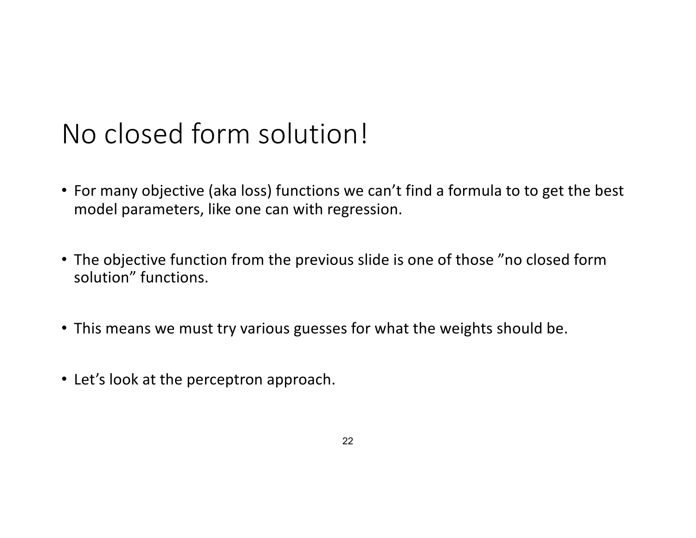# No closed form solution!

- For many objective (aka loss) functions we can't find a formula to to get the best model parameters, like one can with regression.
- The objective function from the previous slide is one of those "no closed form solution" functions.
- This means we must try various guesses for what the weights should be.
- Let's look at the perceptron approach.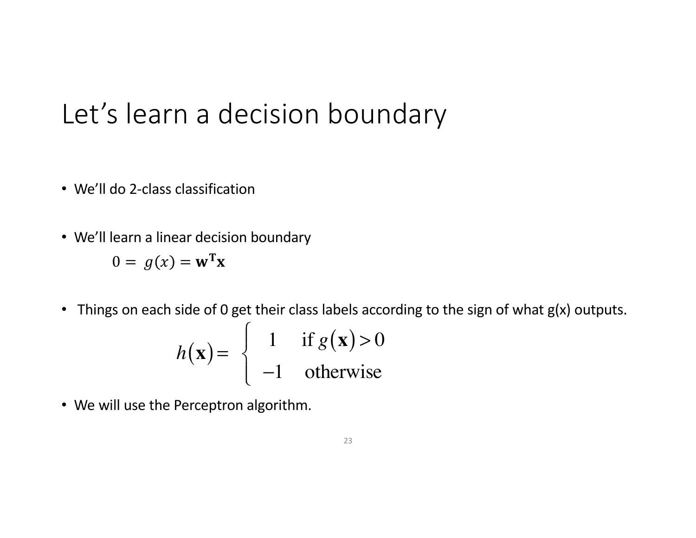# Let's learn a decision boundary

- We'll do 2-class classification
- We'll learn a linear decision boundary

 $0 = g(x) = \mathbf{w}^T \mathbf{x}$ 

• Things on each side of 0 get their class labels according to the sign of what g(x) outputs.

$$
h(\mathbf{x}) = \begin{cases} 1 & \text{if } g(\mathbf{x}) > 0 \\ -1 & \text{otherwise} \end{cases}
$$

• We will use the Perceptron algorithm.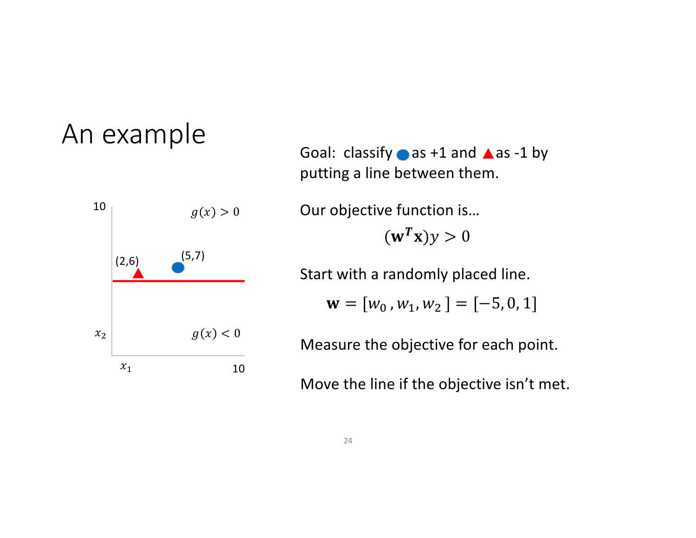

Goal: classify  $\bullet$  as +1 and  $\blacktriangle$  as -1 by putting a line between them.

 $(\mathbf{w}^T \mathbf{x}) y > 0$ Our objective function is…

Start with a randomly placed line.

$$
\mathbf{w} = [w_0, w_1, w_2] = [-5, 0, 1]
$$

Measure the objective for each point.

Move the line if the objective isn't met.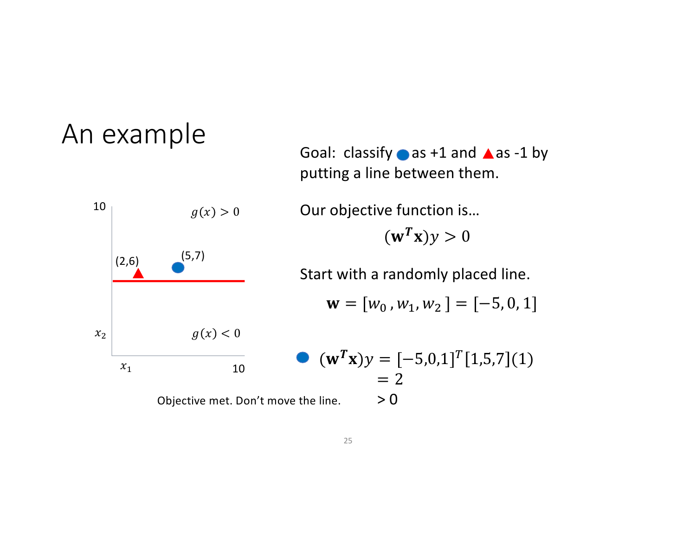$\mathbf{w} = [w_0, w_1, w_2] = [-5, 0, 1]$  $(\mathbf{w}^T \mathbf{x}) y > 0$ Our objective function is… Start with a randomly placed line.  $(\mathbf{w}^T \mathbf{x})y = [-5,0,1]^T [1,5,7]$ (1)  $= 2$ Objective met. Don't move the line.  $> 0$ putting a line between them. 10 10  $x_1$  $x_2$  $g(x) > 0$  $g(x) < 0$  $(2,6)$   $(5,7)$ 

Goal: classify  $\bullet$  as +1 and  $\blacktriangle$  as -1 by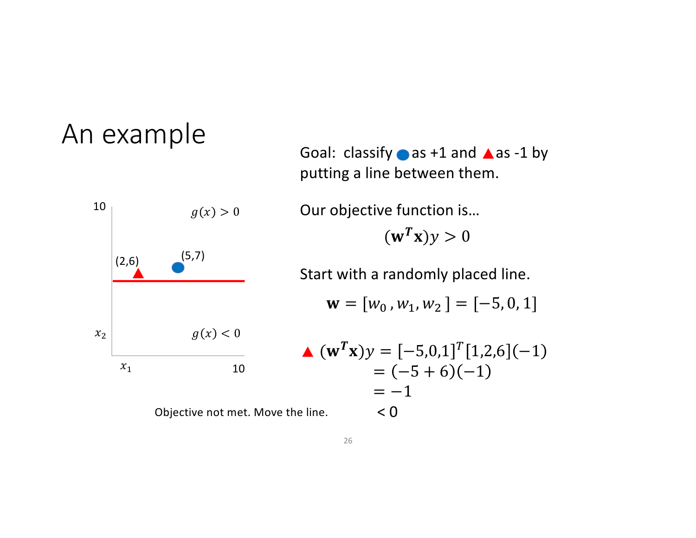

Objective not met. Move the

Goal: classify  $\bullet$  as +1 and  $\blacktriangle$  as -1 by putting a line between them.

 $(\mathbf{w}^T \mathbf{x})y > 0$ Our objective function is…

Start with a randomly placed line.

$$
\mathbf{w} = [w_0, w_1, w_2] = [-5, 0, 1]
$$

$$
\begin{aligned} \n\blacktriangle \ (\mathbf{w}^T \mathbf{x}) y &= [-5, 0, 1]^T [1, 2, 6](-1) \\ \n&= (-5 + 6)(-1) \\ \n&= -1 \\ \n\text{Line.} \n\end{aligned}
$$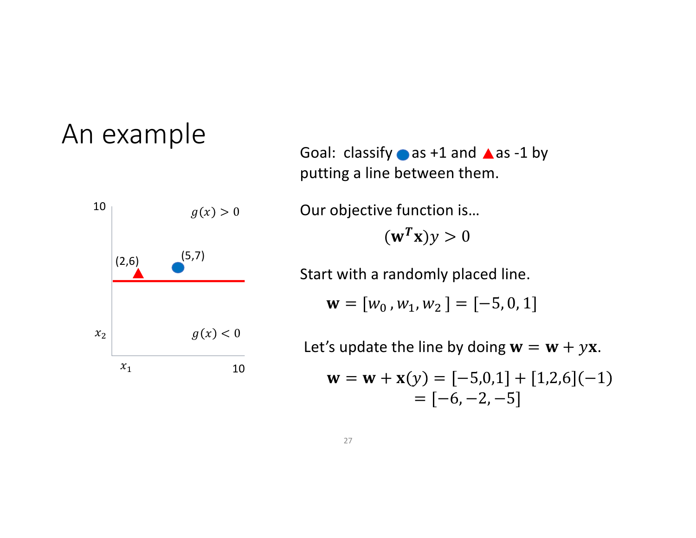

Goal: classify  $\bullet$  as +1 and  $\blacktriangle$  as -1 by putting a line between them.

 $(\mathbf{w}^T \mathbf{x}) y > 0$ Our objective function is…

Start with a randomly placed line.

$$
\mathbf{w} = [w_0, w_1, w_2] = [-5, 0, 1]
$$

Let's update the line by doing  $w = w + yx$ .

$$
\mathbf{w} = \mathbf{w} + \mathbf{x}(y) = [-5, 0, 1] + [1, 2, 6](-1)
$$

$$
= [-6, -2, -5]
$$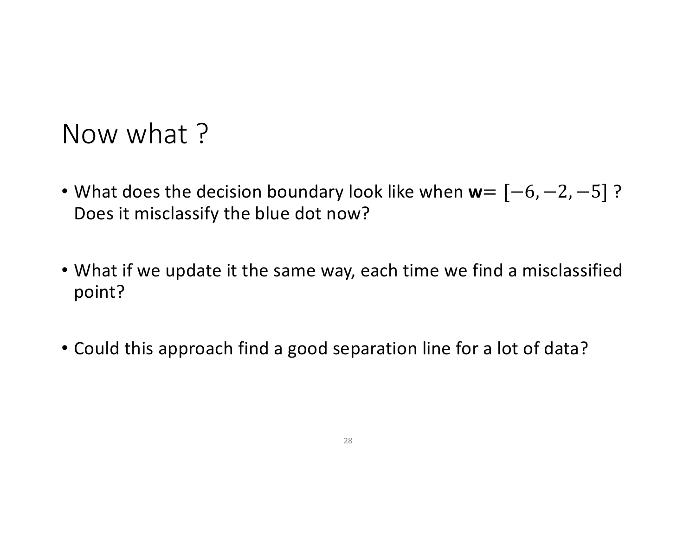#### Now what ?

- What does the decision boundary look like when **w**=  $[-6, -2, -5]$ ? Does it misclassify the blue dot now?
- What if we update it the same way, each time we find a misclassified point?
- Could this approach find a good separation line for a lot of data?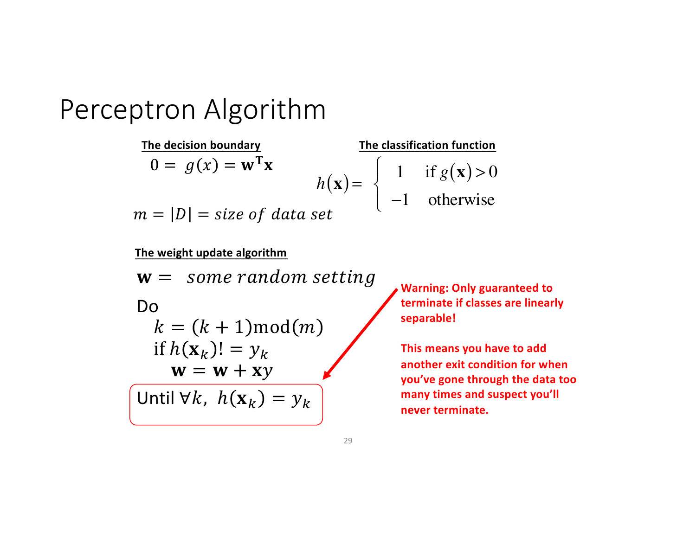The decision boundary  
\n
$$
0 = g(x) = \mathbf{w}^T \mathbf{x}
$$
\n
$$
h(\mathbf{x}) = \begin{cases}\n1 & \text{if } g(\mathbf{x}) > 0 \\
-1 & \text{otherwise}\n\end{cases}
$$
\n
$$
m = |D| = size \text{ of data set}
$$

**The weight update algorithm**

 $w =$  some random setting Do  $k = (k + 1) \text{mod}(m)$ if  $h(\mathbf{x}_k)! = y_k$  $w = w + xy$ Until  $\forall k, h(\mathbf{x}_k) = y_k$ 

**Warning: Only guaranteed to terminate if classes are linearly separable!**

**This means you have to add another exit condition for when you've gone through the data too many times and suspect you'll never terminate.**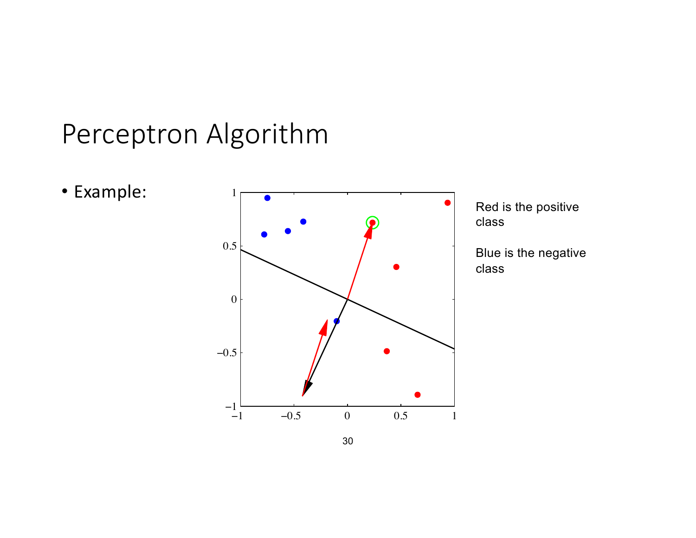• Example:



Red is the positive class

Blue is the negative class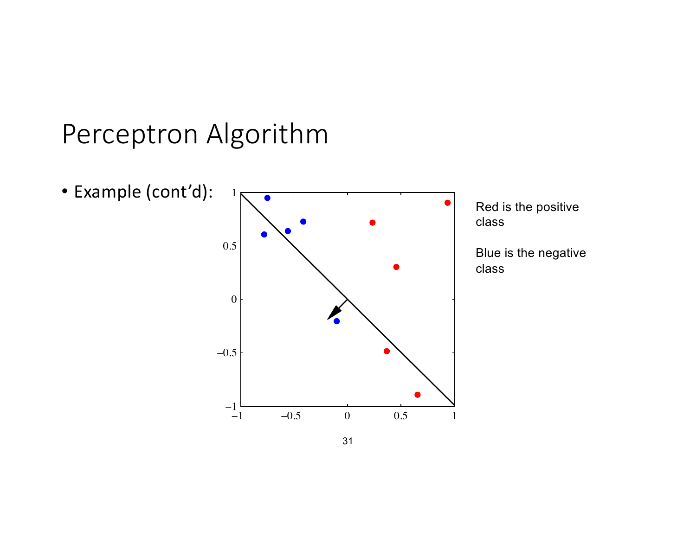

31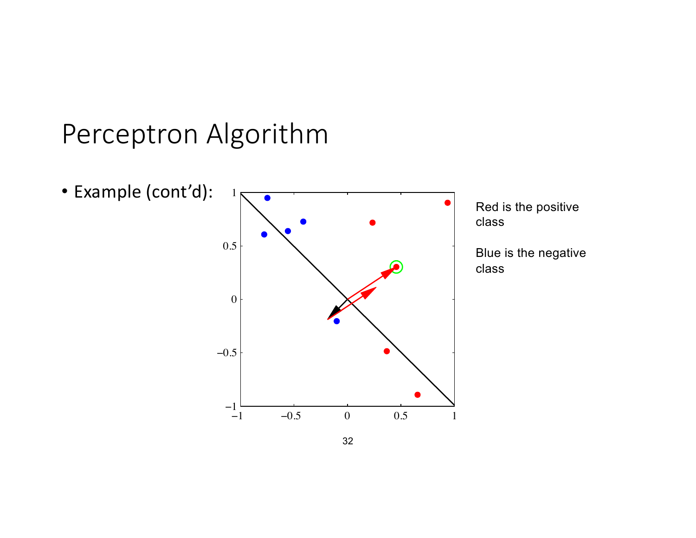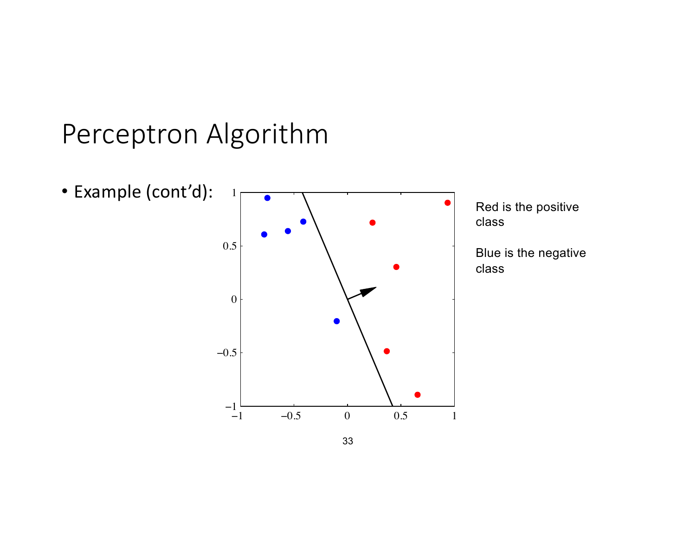

Red is the positive

Blue is the negative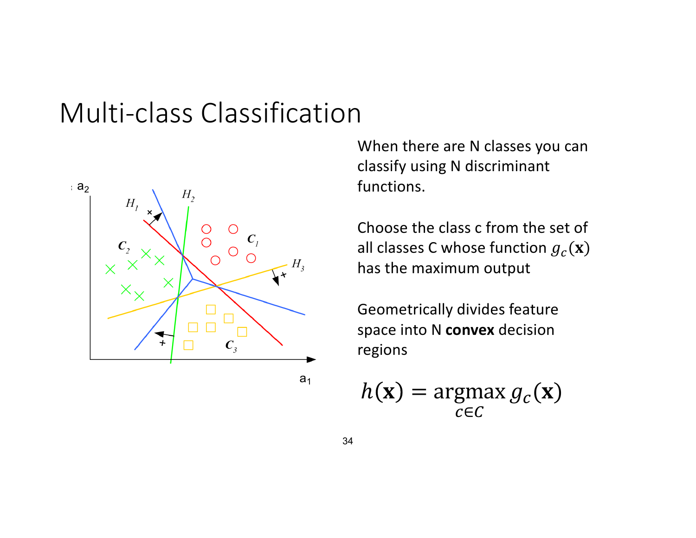#### Multi-class Classification



 $a<sub>1</sub>$ 

When there are N classes you can classify using N discriminant functions.

Choose the class c from the set of all classes C whose function  $g_c(\mathbf{x})$ has the maximum output

Geometrically divides feature space into N **convex** decision regions

$$
h(\mathbf{x}) = \operatorname*{argmax}_{c \in C} g_c(\mathbf{x})
$$